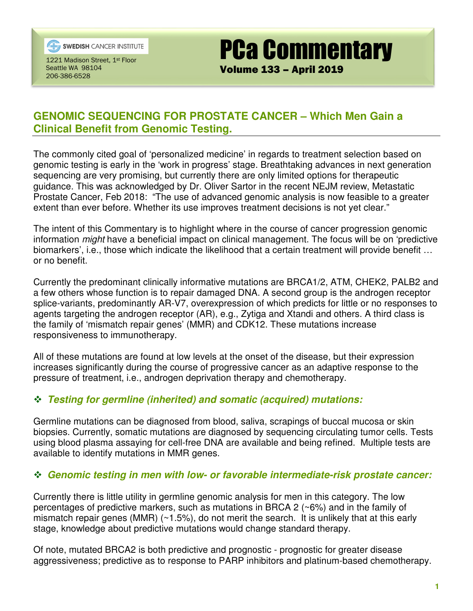

**SWEDISH** CANCER INSTITUTE

1221 Madison Street, 1st Floor Seattle WA 98104 206-386-6528

# **GENOMIC SEQUENCING FOR PROSTATE CANCER – Which Men Gain a Clinical Benefit from Genomic Testing.**

PCa Commentary

Volume 133 – April 2019

The commonly cited goal of 'personalized medicine' in regards to treatment selection based on genomic testing is early in the 'work in progress' stage. Breathtaking advances in next generation sequencing are very promising, but currently there are only limited options for therapeutic guidance. This was acknowledged by Dr. Oliver Sartor in the recent NEJM review, Metastatic Prostate Cancer, Feb 2018: "The use of advanced genomic analysis is now feasible to a greater extent than ever before. Whether its use improves treatment decisions is not yet clear."

The intent of this Commentary is to highlight where in the course of cancer progression genomic information might have a beneficial impact on clinical management. The focus will be on 'predictive biomarkers', i.e., those which indicate the likelihood that a certain treatment will provide benefit … or no benefit.

Currently the predominant clinically informative mutations are BRCA1/2, ATM, CHEK2, PALB2 and a few others whose function is to repair damaged DNA. A second group is the androgen receptor splice-variants, predominantly AR-V7, overexpression of which predicts for little or no responses to agents targeting the androgen receptor (AR), e.g., Zytiga and Xtandi and others. A third class is the family of 'mismatch repair genes' (MMR) and CDK12. These mutations increase responsiveness to immunotherapy.

All of these mutations are found at low levels at the onset of the disease, but their expression increases significantly during the course of progressive cancer as an adaptive response to the pressure of treatment, i.e., androgen deprivation therapy and chemotherapy.

# **Testing for germline (inherited) and somatic (acquired) mutations:**

Germline mutations can be diagnosed from blood, saliva, scrapings of buccal mucosa or skin biopsies. Currently, somatic mutations are diagnosed by sequencing circulating tumor cells. Tests using blood plasma assaying for cell-free DNA are available and being refined. Multiple tests are available to identify mutations in MMR genes.

#### **Genomic testing in men with low- or favorable intermediate-risk prostate cancer:**

Currently there is little utility in germline genomic analysis for men in this category. The low percentages of predictive markers, such as mutations in BRCA 2 (~6%) and in the family of mismatch repair genes (MMR) (~1.5%), do not merit the search. It is unlikely that at this early stage, knowledge about predictive mutations would change standard therapy.

Of note, mutated BRCA2 is both predictive and prognostic - prognostic for greater disease aggressiveness; predictive as to response to PARP inhibitors and platinum-based chemotherapy.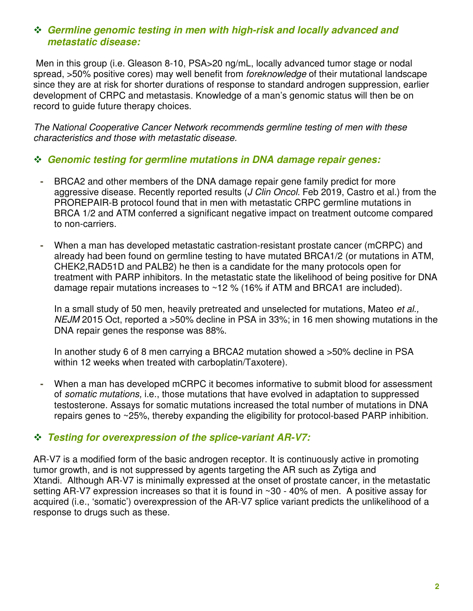## **Germline genomic testing in men with high-risk and locally advanced and metastatic disease:**

 Men in this group (i.e. Gleason 8-10, PSA>20 ng/mL, locally advanced tumor stage or nodal spread, >50% positive cores) may well benefit from *foreknowledge* of their mutational landscape since they are at risk for shorter durations of response to standard androgen suppression, earlier development of CRPC and metastasis. Knowledge of a man's genomic status will then be on record to guide future therapy choices.

The National Cooperative Cancer Network recommends germline testing of men with these characteristics and those with metastatic disease.

#### **Genomic testing for germline mutations in DNA damage repair genes:**

- BRCA2 and other members of the DNA damage repair gene family predict for more aggressive disease. Recently reported results (*J Clin Oncol.* Feb 2019, Castro et al.) from the PROREPAIR-B protocol found that in men with metastatic CRPC germline mutations in BRCA 1/2 and ATM conferred a significant negative impact on treatment outcome compared to non-carriers.
- When a man has developed metastatic castration-resistant prostate cancer (mCRPC) and already had been found on germline testing to have mutated BRCA1/2 (or mutations in ATM, CHEK2,RAD51D and PALB2) he then is a candidate for the many protocols open for treatment with PARP inhibitors. In the metastatic state the likelihood of being positive for DNA damage repair mutations increases to ~12 % (16% if ATM and BRCA1 are included).

In a small study of 50 men, heavily pretreated and unselected for mutations, Mateo *et al.*, NEJM 2015 Oct, reported a >50% decline in PSA in 33%; in 16 men showing mutations in the DNA repair genes the response was 88%.

In another study 6 of 8 men carrying a BRCA2 mutation showed a >50% decline in PSA within 12 weeks when treated with carboplatin/Taxotere).

**-** When a man has developed mCRPC it becomes informative to submit blood for assessment of somatic mutations, i.e., those mutations that have evolved in adaptation to suppressed testosterone. Assays for somatic mutations increased the total number of mutations in DNA repairs genes to ~25%, thereby expanding the eligibility for protocol-based PARP inhibition.

#### **Testing for overexpression of the splice-variant AR-V7:**

AR-V7 is a modified form of the basic androgen receptor. It is continuously active in promoting tumor growth, and is not suppressed by agents targeting the AR such as Zytiga and Xtandi. Although AR-V7 is minimally expressed at the onset of prostate cancer, in the metastatic setting AR-V7 expression increases so that it is found in ~30 - 40% of men. A positive assay for acquired (i.e., 'somatic') overexpression of the AR-V7 splice variant predicts the unlikelihood of a response to drugs such as these.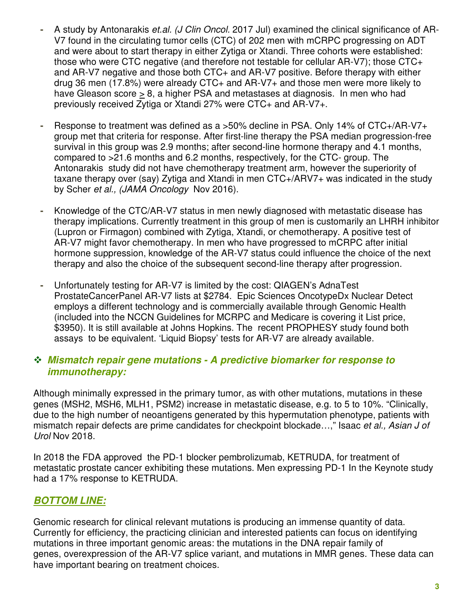- A study by Antonarakis et.al. (J Clin Oncol. 2017 Jul) examined the clinical significance of AR-V7 found in the circulating tumor cells (CTC) of 202 men with mCRPC progressing on ADT and were about to start therapy in either Zytiga or Xtandi. Three cohorts were established: those who were CTC negative (and therefore not testable for cellular AR-V7); those CTC+ and AR-V7 negative and those both CTC+ and AR-V7 positive. Before therapy with either drug 36 men (17.8%) were already CTC+ and AR-V7+ and those men were more likely to have Gleason score > 8, a higher PSA and metastases at diagnosis. In men who had previously received Zytiga or Xtandi 27% were CTC+ and AR-V7+.
- Response to treatment was defined as a >50% decline in PSA. Only 14% of CTC+/AR-V7+ group met that criteria for response. After first-line therapy the PSA median progression-free survival in this group was 2.9 months; after second-line hormone therapy and 4.1 months, compared to >21.6 months and 6.2 months, respectively, for the CTC- group. The Antonarakis study did not have chemotherapy treatment arm, however the superiority of taxane therapy over (say) Zytiga and Xtandi in men CTC+/ARV7+ was indicated in the study by Scher et al., (JAMA Oncology Nov 2016).
- Knowledge of the CTC/AR-V7 status in men newly diagnosed with metastatic disease has therapy implications. Currently treatment in this group of men is customarily an LHRH inhibitor (Lupron or Firmagon) combined with Zytiga, Xtandi, or chemotherapy. A positive test of AR-V7 might favor chemotherapy. In men who have progressed to mCRPC after initial hormone suppression, knowledge of the AR-V7 status could influence the choice of the next therapy and also the choice of the subsequent second-line therapy after progression.
- Unfortunately testing for AR-V7 is limited by the cost: QIAGEN's AdnaTest ProstateCancerPanel AR-V7 lists at \$2784. Epic Sciences OncotypeDx Nuclear Detect employs a different technology and is commercially available through Genomic Health (included into the NCCN Guidelines for MCRPC and Medicare is covering it List price, \$3950). It is still available at Johns Hopkins. The recent PROPHESY study found both assays to be equivalent. 'Liquid Biopsy' tests for AR-V7 are already available.

### **Mismatch repair gene mutations - A predictive biomarker for response to immunotherapy:**

Although minimally expressed in the primary tumor, as with other mutations, mutations in these genes (MSH2, MSH6, MLH1, PSM2) increase in metastatic disease, e.g. to 5 to 10%. "Clinically, due to the high number of neoantigens generated by this hypermutation phenotype, patients with mismatch repair defects are prime candidates for checkpoint blockade...," Isaac et al., Asian J of Urol Nov 2018.

In 2018 the FDA approved the PD-1 blocker pembrolizumab, KETRUDA, for treatment of metastatic prostate cancer exhibiting these mutations. Men expressing PD-1 In the Keynote study had a 17% response to KETRUDA.

# **BOTTOM LINE:**

Genomic research for clinical relevant mutations is producing an immense quantity of data. Currently for efficiency, the practicing clinician and interested patients can focus on identifying mutations in three important genomic areas: the mutations in the DNA repair family of genes, overexpression of the AR-V7 splice variant, and mutations in MMR genes. These data can have important bearing on treatment choices.